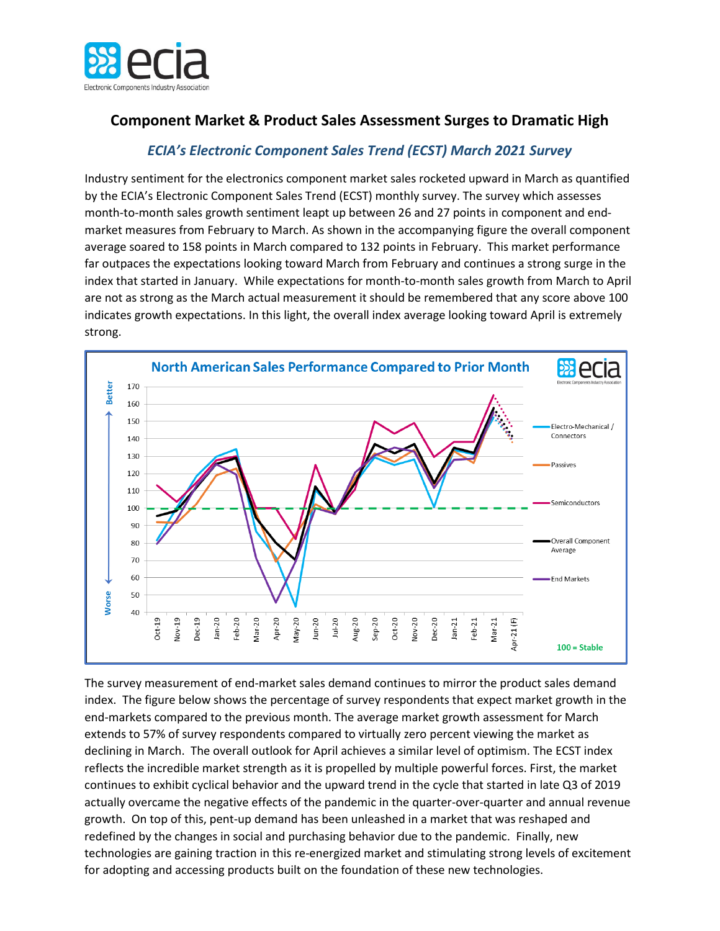

## **Component Market & Product Sales Assessment Surges to Dramatic High**

## *ECIA's Electronic Component Sales Trend (ECST) March 2021 Survey*

Industry sentiment for the electronics component market sales rocketed upward in March as quantified by the ECIA's Electronic Component Sales Trend (ECST) monthly survey. The survey which assesses month-to-month sales growth sentiment leapt up between 26 and 27 points in component and endmarket measures from February to March. As shown in the accompanying figure the overall component average soared to 158 points in March compared to 132 points in February. This market performance far outpaces the expectations looking toward March from February and continues a strong surge in the index that started in January. While expectations for month-to-month sales growth from March to April are not as strong as the March actual measurement it should be remembered that any score above 100 indicates growth expectations. In this light, the overall index average looking toward April is extremely strong.



The survey measurement of end-market sales demand continues to mirror the product sales demand index. The figure below shows the percentage of survey respondents that expect market growth in the end-markets compared to the previous month. The average market growth assessment for March extends to 57% of survey respondents compared to virtually zero percent viewing the market as declining in March. The overall outlook for April achieves a similar level of optimism. The ECST index reflects the incredible market strength as it is propelled by multiple powerful forces. First, the market continues to exhibit cyclical behavior and the upward trend in the cycle that started in late Q3 of 2019 actually overcame the negative effects of the pandemic in the quarter-over-quarter and annual revenue growth. On top of this, pent-up demand has been unleashed in a market that was reshaped and redefined by the changes in social and purchasing behavior due to the pandemic. Finally, new technologies are gaining traction in this re-energized market and stimulating strong levels of excitement for adopting and accessing products built on the foundation of these new technologies.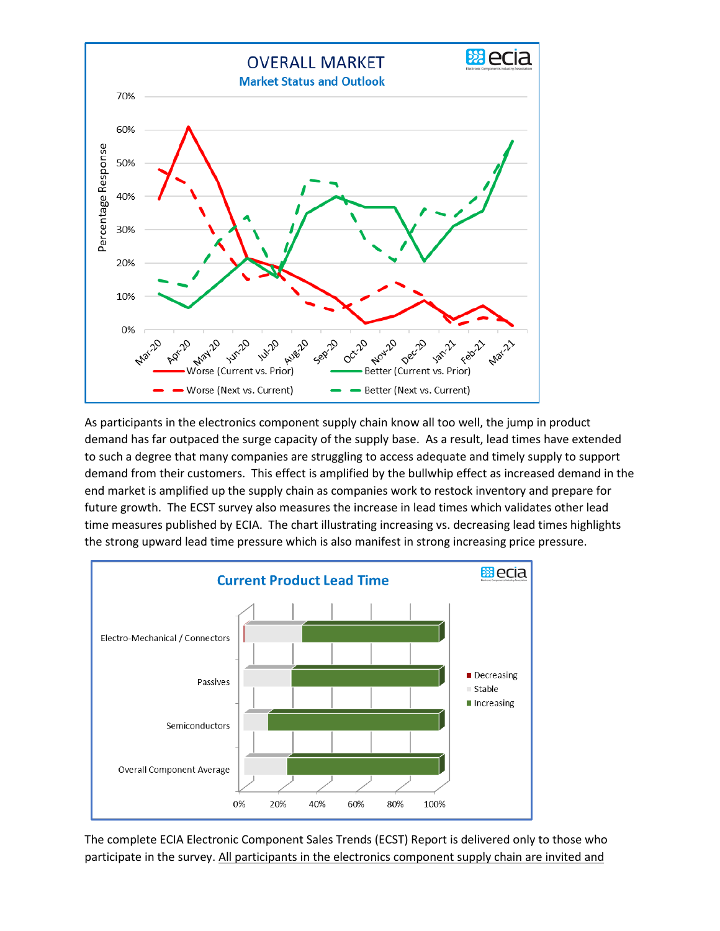

As participants in the electronics component supply chain know all too well, the jump in product demand has far outpaced the surge capacity of the supply base. As a result, lead times have extended to such a degree that many companies are struggling to access adequate and timely supply to support demand from their customers. This effect is amplified by the bullwhip effect as increased demand in the end market is amplified up the supply chain as companies work to restock inventory and prepare for future growth. The ECST survey also measures the increase in lead times which validates other lead time measures published by ECIA. The chart illustrating increasing vs. decreasing lead times highlights the strong upward lead time pressure which is also manifest in strong increasing price pressure.



The complete ECIA Electronic Component Sales Trends (ECST) Report is delivered only to those who participate in the survey. All participants in the electronics component supply chain are invited and